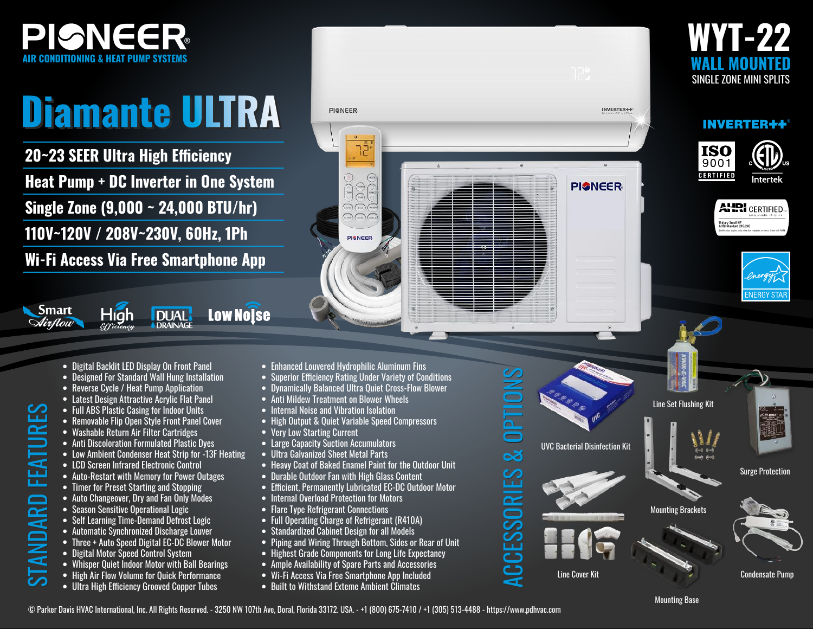

## **Diamante ULTRA Diamante ULTRA**

**20~23 SEER Ultra High Efficiency Heat Pump + DC Inverter in One System Single Zone (9,000 ~ 24,000 BTU/hr) 110V~120V / 208V~230V, 60Hz, 1Ph**

**Wi-Fi Access Via Free Smartphone App**

**DUAL** 

**DRAINAGE** 

• Digital Backlit LED Display On Front Panel

Híah

*&fficiency* 

- Designed For Standard Wall Hung Installation
- Reverse Cycle / Heat Pump Application
- Latest Design Attractive Acrylic Flat Panel
- Full ABS Plastic Casing for Indoor Units
- Removable Flip Open Style Front Panel Cover
- Washable Return Air Filter Cartridges

TURES

Smart

Mirflow

- Anti Discoloration Formulated Plastic Dyes
- Low Ambient Condenser Heat Strip for -13F Heating
- LCD Screen Infrared Electronic Control
- Auto-Restart with Memory for Power Outages
- Timer for Preset Starting and Stopping
- Auto Changeover, Dry and Fan Only Modes
- Season Sensitive Operational Logic
- Self Learning Time-Demand Defrost Logic
- Automatic Synchronized Discharge Louver
- Three + Auto Speed Digital EC-DC Blower Motor
- Digital Motor Speed Control System
- Whisper Quiet Indoor Motor with Ball Bearings
- High Air Flow Volume for Ouick Performance
- STANDARD FEATURES • Ultra High Efficiency Grooved Copper Tubes STANDARD FEA
- Enhanced Louvered Hydrophilic Aluminum Fins

**PIGNEER** 

าวิ

000<br>000

 $\overline{\phantom{a}}$  (see )  $\overline{\phantom{a}}$  (Then  $\overline{\text{max}}$   $\overline{\text{max}}$   $\overline{\text{max}}$ 

**PISNEER** 

- Superior Efficiency Rating Under Variety of Conditions
- Dynamically Balanced Ultra Quiet Cross-Flow Blower
- Anti Mildew Treatment on Blower Wheels
- Internal Noise and Vibration Isolation
- High Output & Quiet Variable Speed Compressors
- Very Low Starting Current

**Low Noise** 

- Large Capacity Suction Accumulators
- Ultra Galvanized Sheet Metal Parts
- Heavy Coat of Baked Enamel Paint for the Outdoor Unit
- Durable Outdoor Fan with High Glass Content
- Efficient, Permanently Lubricated EC-DC Outdoor Motor
- Internal Overload Protection for Motors
- Flare Type Refrigerant Connections
- Full Operating Charge of Refrigerant (R410A)
- Standardized Cabinet Design for all Models
- Piping and Wiring Through Bottom, Sides or Rear of Unit
- Highest Grade Components for Long Life Expectancy
- Ample Availability of Spare Parts and Accessories
- Wi-Fi Access Via Free Smartphone App Included
- Built to Withstand Exteme Ambient Climates



## INVERTER++®







Intertek

Mounting Brackets UVC Bacterial Disinfection Kit Surge Protection Line Set Flushing Kit

**INVERTER+4** 

**PISNEER** 

Line Cover Kit

ACCESSORIES & OPTIONS

ACCESSORIES & OPTIONS

OPTIONS

 $\overline{3}$ 

ACCESSORIES



Condensate Pump

© Parker Davis HVAC International, Inc. All Rights Reserved. - 3250 NW 107th Ave, Doral, Florida 33172. USA. - +1 (800) 675-7410 / +1 (305) 513-4488 - https://www.pdhvac.com

**Mounting Base**